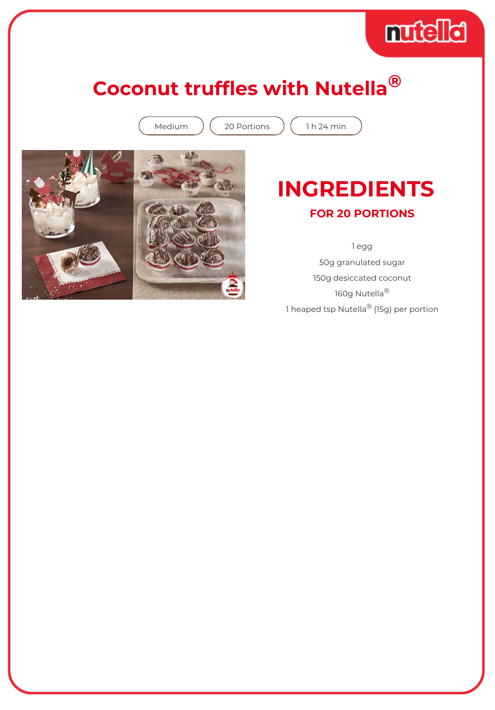## **Coconut truffles with Nutella®**

Medium  $(20$  Portions  $(1 h 24$  min



## **INGREDIENTS**

muchet

**FOR 20 PORTIONS**

1 egg 50g granulated sugar 150g desiccated coconut 160g Nutella<sup>®</sup> 1 heaped tsp Nutella<sup>®</sup> (15g) per portion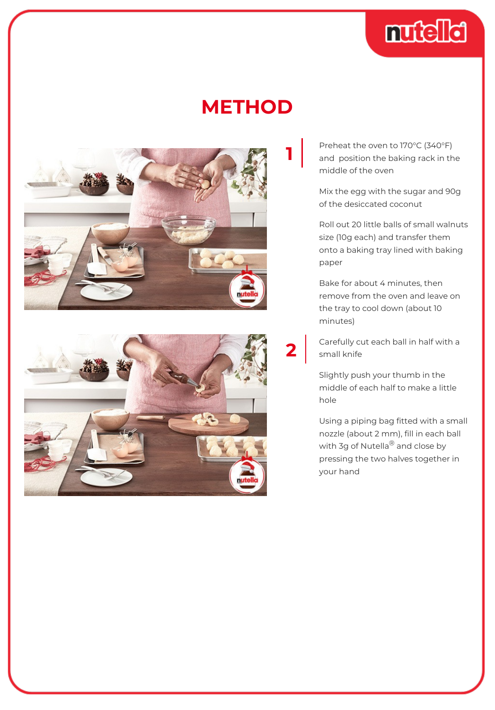

## **METHOD**

**2**





Preheat the oven to 170°C (340°F) and position the baking rack in the middle of the oven

Mix the egg with the sugar and 90g of the desiccated coconut

Roll out 20 little balls of small walnuts size (10g each) and transfer them onto a baking tray lined with baking paper

Bake for about 4 minutes, then remove from the oven and leave on the tray to cool down (about 10 minutes)

Carefully cut each ball in half with a small knife

Slightly push your thumb in the middle of each half to make a little hole

Using a piping bag fitted with a small nozzle (about 2 mm), fill in each ball with 3g of Nutella<sup>®</sup> and close by pressing the two halves together in your hand